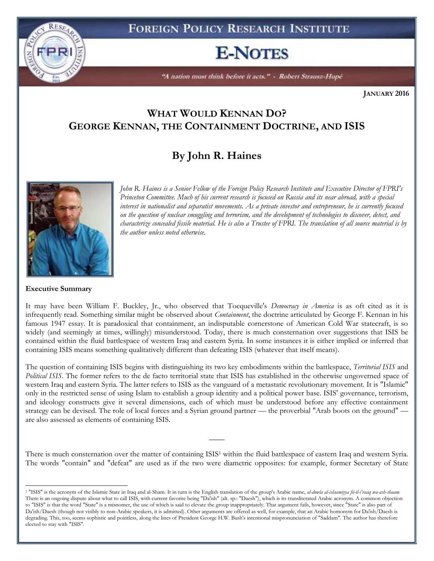# **E-NOTES**

"A nation must think before it acts." - Robert Strausz-Hupé

**JANUARY 2016**

### **WHAT WOULD KENNAN DO? GEORGE KENNAN, THE CONTAINMENT DOCTRINE, AND ISIS**

## **By John R. Haines**



RESA

*Princeton Committee. Much of his current research is focused on Russia and its near abroad, with a special interest in nationalist and separatist movements. As a private investor and entrepreneur, he is currently focused on the question of nuclear smuggling and terrorism, and the development of technologies to discover, detect, and characterize concealed fissile material. He is also a Trustee of FPRI. The translation of all source material is by the author unless noted otherwise.*

*John R. Haines is a Senior Fellow of the Foreign Policy Research Institute and Executive Director of FPRI's* 

#### **Executive Summary**

 $\overline{a}$ 

It may have been William F. Buckley, Jr., who observed that Tocqueville's *Democracy in America* is as oft cited as it is infrequently read. Something similar might be observed about *Containment*, the doctrine articulated by George F. Kennan in his famous 1947 essay. It is paradoxical that containment, an indisputable cornerstone of American Cold War statecraft, is so widely (and seemingly at times, willingly) misunderstood. Today, there is much consternation over suggestions that ISIS be contained within the fluid battlespace of western Iraq and eastern Syria. In some instances it is either implied or inferred that containing ISIS means something qualitatively different than defeating ISIS (whatever that itself means).

The question of containing ISIS begins with distinguishing its two key embodiments within the battlespace, *Territorial ISIS* and *Political ISIS*. The former refers to the de facto territorial state that ISIS has established in the otherwise ungoverned space of western Iraq and eastern Syria. The latter refers to ISIS as the vanguard of a metastatic revolutionary movement. It is "Islamic" only in the restricted sense of using Islam to establish a group identity and a political power base. ISIS' governance, terrorism, and ideology constructs give it several dimensions, each of which must be understood before any effective containment strategy can be devised. The role of local forces and a Syrian ground partner — the proverbial "Arab boots on the ground" are also assessed as elements of containing ISIS.

There is much consternation over the matter of containing ISIS<sup>1</sup> within the fluid battlespace of eastern Iraq and western Syria. The words "contain" and "defeat" are used as if the two were diametric opposites: for example, former Secretary of State

 $\overline{\phantom{a}}$ 

<sup>1</sup> "ISIS" is the acronym of the Islamic State in Iraq and al-Sham. It in turn is the English translation of the group's Arabic name, *al-dowla al-islaamiyya fii-il-i'raaq wa-ash-shaam*. There is an ongoing dispute about what to call ISIS, with current favorite being "Da'ish" (alt. sp.: "Daesh"), which is its transliterated Arabic acronym. A common objection to "ISIS" is that the word "State" is a misnomer, the use of which is said to elevate the group inappropriately. That argument fails, however, since "State" is also part of Da'ish/Daesh (though not visibly to non-Arabic speakers, it is admitted). Other arguments are offered as well, for example, that an Arabic homonym for Da'ish/Daesh is degrading. This, too, seems sophistic and pointless, along the lines of President George H.W. Bush's intentional mispronunciation of "Saddam". The author has therefore elected to stay with "ISIS".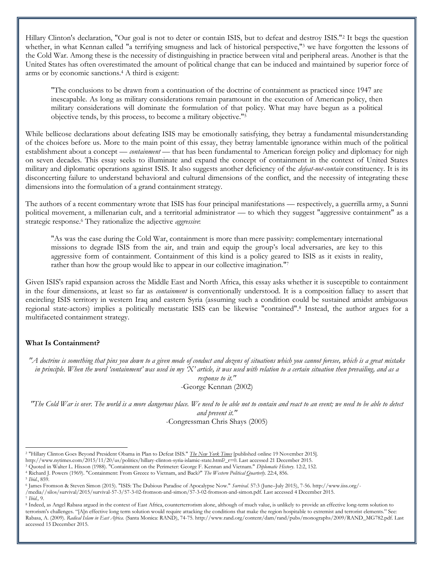Hillary Clinton's declaration, "Our goal is not to deter or contain ISIS, but to defeat and destroy ISIS."<sup>2</sup> It begs the question whether, in what Kennan called "a terrifying smugness and lack of historical perspective,"<sup>3</sup> we have forgotten the lessons of the Cold War. Among these is the necessity of distinguishing in practice between vital and peripheral areas. Another is that the United States has often overestimated the amount of political change that can be induced and maintained by superior force of arms or by economic sanctions.<sup>4</sup> A third is exigent:

"The conclusions to be drawn from a continuation of the doctrine of containment as practiced since 1947 are inescapable. As long as military considerations remain paramount in the execution of American policy, then military considerations will dominate the formulation of that policy. What may have begun as a political objective tends, by this process, to become a military objective."<sup>5</sup>

While bellicose declarations about defeating ISIS may be emotionally satisfying, they betray a fundamental misunderstanding of the choices before us. More to the main point of this essay, they betray lamentable ignorance within much of the political establishment about a concept — *containment* — that has been fundamental to American foreign policy and diplomacy for nigh on seven decades. This essay seeks to illuminate and expand the concept of containment in the context of United States military and diplomatic operations against ISIS. It also suggests another deficiency of the *defeat-not-contain* constituency. It is its disconcerting failure to understand behavioral and cultural dimensions of the conflict, and the necessity of integrating these dimensions into the formulation of a grand containment strategy.

The authors of a recent commentary wrote that ISIS has four principal manifestations — respectively, a guerrilla army, a Sunni political movement, a millenarian cult, and a territorial administrator — to which they suggest "aggressive containment" as a strategic response.<sup>6</sup> They rationalize the adjective *aggressive*:

"As was the case during the Cold War, containment is more than mere passivity: complementary international missions to degrade ISIS from the air, and train and equip the group's local adversaries, are key to this aggressive form of containment. Containment of this kind is a policy geared to ISIS as it exists in reality, rather than how the group would like to appear in our collective imagination."<sup>7</sup>

Given ISIS's rapid expansion across the Middle East and North Africa, this essay asks whether it is susceptible to containment in the four dimensions, at least so far as *containment* is conventionally understood. It is a composition fallacy to assert that encircling ISIS territory in western Iraq and eastern Syria (assuming such a condition could be sustained amidst ambiguous regional state-actors) implies a politically metastatic ISIS can be likewise "contained".<sup>8</sup> Instead, the author argues for a multifaceted containment strategy.

#### **What Is Containment?**

*"A doctrine is something that pins you down to a given mode of conduct and dozens of situations which you cannot foresee, which is a great mistake*  in principle. When the word 'containment' was used in my 'X' article, it was used with relation to a certain situation then prevailing, and as a *response to it."*

-George Kennan (2002)

*"The Cold War is over. The world is a more dangerous place. We need to be able not to contain and react to an event; we need to be able to detect and prevent it."*

-Congressman Chris Shays (2005)

<sup>&</sup>lt;sup>2</sup> "Hillary Clinton Goes Beyond President Obama in Plan to Defeat ISIS." *The New York Times* [published online 19 November 2015].

http://www.nytimes.com/2015/11/20/us/politics/hillary-clinton-syria-islamic-state.html?\_r=0. Last accessed 21 December 2015.

<sup>3</sup> Quoted in Walter L. Hixson (1988). "Containment on the Perimeter: George F. Kennan and Vietnam." *Diplomatic History*. 12:2, 152.

<sup>4</sup> Richard J. Powers (1969). "Containment: From Greece to Vietnam, and Back?" *The Western Political Quarterly*. 22:4, 856.

<sup>5</sup> *Ibid.*, 859.

<sup>6</sup> James Fromson & Steven Simon (2015). "ISIS: The Dubious Paradise of Apocalypse Now." *Survival*. 57:3 (June–July 2015), 7-56. http://www.iiss.org/-

<sup>/</sup>media//silos/survival/2015/survival-57-3/57-3-02-fromson-and-simon/57-3-02-fromson-and-simon.pdf. Last accessed 4 December 2015.

<sup>7</sup> *Ibid.,* 9.

<sup>&</sup>lt;sup>8</sup> Indeed, as Angel Rabasa argued in the context of East Africa, counterterrorism alone, although of much value, is unlikely to provide an effective long-term solution to terrorism's challenges. "[A]n effective long term solution would require attacking the conditions that make the region hospitable to extremist and terrorist elements." See: Rabasa, A. (2009). *Radical Islam in East Africa*. (Santa Monica: RAND), 74-75. http://www.rand.org/content/dam/rand/pubs/monographs/2009/RAND\_MG782.pdf. Last accessed 15 December 2015.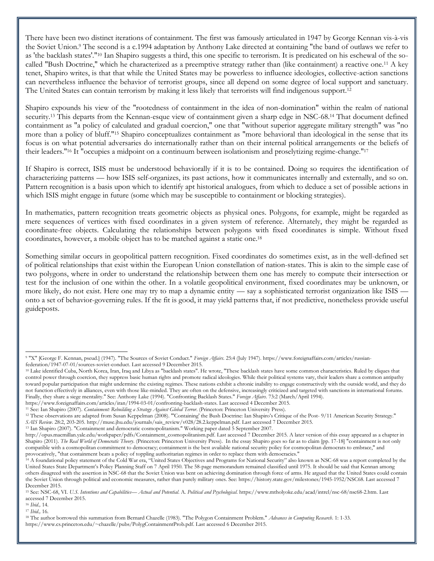There have been two distinct iterations of containment. The first was famously articulated in 1947 by George Kennan vis-à-vis the Soviet Union.<sup>9</sup> The second is a c.1994 adaptation by Anthony Lake directed at containing "the band of outlaws we refer to as 'the backlash states'."<sup>10</sup> Ian Shapiro suggests a third, this one specific to terrorism. It is predicated on his eschewal of the socalled "Bush Doctrine," which he characterized as a preemptive strategy rather than (like containment) a reactive one.<sup>11</sup> A key tenet, Shapiro writes, is that that while the United States may be powerless to influence ideologies, collective-action sanctions can nevertheless influence the behavior of terrorist groups, since all depend on some degree of local support and sanctuary. The United States can contain terrorism by making it less likely that terrorists will find indigenous support.<sup>12</sup>

Shapiro expounds his view of the "rootedness of containment in the idea of non-domination" within the realm of national security.<sup>13</sup> This departs from the Kennan-esque view of containment given a sharp edge in NSC-68.<sup>14</sup> That document defined containment as "a policy of calculated and gradual coercion," one that "without superior aggregate military strength" was "no more than a policy of bluff."<sup>15</sup> Shapiro conceptualizes containment as "more behavioral than ideological in the sense that its focus is on what potential adversaries do internationally rather than on their internal political arrangements or the beliefs of their leaders."<sup>16</sup> It "occupies a midpoint on a continuum between isolationism and proselytizing regime-change."<sup>17</sup>

If Shapiro is correct, ISIS must be understood behaviorally if it is to be contained. Doing so requires the identification of characterizing patterns — how ISIS self-organizes, its past actions, how it communicates internally and externally, and so on. Pattern recognition is a basis upon which to identify apt historical analogues, from which to deduce a set of possible actions in which ISIS might engage in future (some which may be susceptible to containment or blocking strategies).

In mathematics, pattern recognition treats geometric objects as physical ones. Polygons, for example, might be regarded as mere sequences of vertices with fixed coordinates in a given system of reference. Alternately, they might be regarded as coordinate-free objects. Calculating the relationships between polygons with fixed coordinates is simple. Without fixed coordinates, however, a mobile object has to be matched against a static one.<sup>18</sup>

Something similar occurs in geopolitical pattern recognition. Fixed coordinates do sometimes exist, as in the well-defined set of political relationships that exist within the European Union constellation of nation-states. This is akin to the simple case of two polygons, where in order to understand the relationship between them one has merely to compute their intersection or test for the inclusion of one within the other. In a volatile geopolitical environment, fixed coordinates may be unknown, or more likely, do not exist. Here one may try to map a dynamic entity — say a sophisticated terrorist organization like ISIS onto a set of behavior-governing rules. If the fit is good, it may yield patterns that, if not predictive, nonetheless provide useful guideposts.

l

<sup>9</sup> "X" [George F. Kennan, pseud.] (1947). "The Sources of Soviet Conduct." *Foreign Affairs*. 25:4 (July 1947). https://www.foreignaffairs.com/articles/russianfederation/1947-07-01/sources-soviet-conduct. Last accessed 9 December 2015.

<sup>10</sup> Lake identified Cuba, North Korea, Iran, Iraq and Libya as "backlash states". He wrote, "These backlash states have some common characteristics. Ruled by cliques that control power through coercion, they suppress basic human rights and promote radical ideologies. While their political systems vary, their leaders share a common antipathy toward popular participation that might undermine the existing regimes. These nations exhibit a chronic inability to engage constructively with the outside world, and they do not function effectively in alliances, even with those like-minded. They are often on the defensive, increasingly criticized and targeted with sanctions in international forums. Finally, they share a siege mentality." See: Anthony Lake (1994). "Confronting Backlash States." *Foreign Affairs*. 73:2 (March/April 1994).

https://www.foreignaffairs.com/articles/iran/1994-03-01/confronting-backlash-states. Last accessed 4 December 2015. <sup>11</sup> See: Ian Shapiro (2007). *Containment: Rebuilding a Strategy Against Global Terror*. (Princeton: Princeton University Press).

<sup>&</sup>lt;sup>12</sup> These observations are adapted from Susan Keppelman (2008). "'Containing' the Bush Doctrine: Ian Shapiro's Critique of the Post- 9/11 American Security Strategy."

*SAIS Review*. 28:2, 203-205. http://muse.jhu.edu/journals/sais\_review/v028/28.2.keppelman.pdf. Last accessed 7 December 2015.

<sup>&</sup>lt;sup>13</sup> Ian Shapiro (2007). "Containment and democratic cosmopolitanism." Working paper dated 5 September 2007.

http://opus.macmillan.yale.edu/workpaper/pdfs/Containment\_cosmopolitanism.pdf. Last accessed 7 December 2015. A later version of this essay appeared as a chapter in Shapiro (2011). *The Real World of Democratic Theory*. (Princeton: Princeton University Press). In the essay Shapiro goes so far as to claim [pp. 17-18] "containment is not only compatible with a cosmopolitan commitment to democracy; containment is the best available national security policy for cosmopolitan democrats to embrace," and provocatively, "that containment beats a policy of toppling authoritarian regimes in order to replace them with democracies."

<sup>&</sup>lt;sup>14</sup> A foundational policy statement of the Cold War era, "United States Objectives and Programs for National Security" also known as NSC-68 was a report completed by the United States State Department's Policy Planning Staff on 7 April 1950. The 58-page memorandum remained classified until 1975. It should be said that Kennan among others disagreed with the assertion in NSC-68 that the Soviet Union was bent on achieving domination through force of arms. He argued that the United States could contain the Soviet Union through political and economic measures, rather than purely military ones. See: https://history.state.gov/milestones/1945-1952/NSC68. Last accessed 7 December 2015.

<sup>15</sup> See: NSC-68, VI. *U.S. Intentions and Capabilities— Actual and Potential*. A. *Political and Psychological*. https://www.mtholyoke.edu/acad/intrel/nsc-68/nsc68-2.htm. Last accessed 7 December 2015.

<sup>16</sup> *Ibid.,* 14.

<sup>17</sup> *Ibid.,* 16.

<sup>18</sup> The author borrowed this summation from Bernard Chazelle (1983). "The Polygon Containment Problem." *Advances in Computing Research*. 1: 1-33.

https://www.cs.princeton.edu/~chazelle/pubs/PolygContainmentProb.pdf. Last accessed 6 December 2015.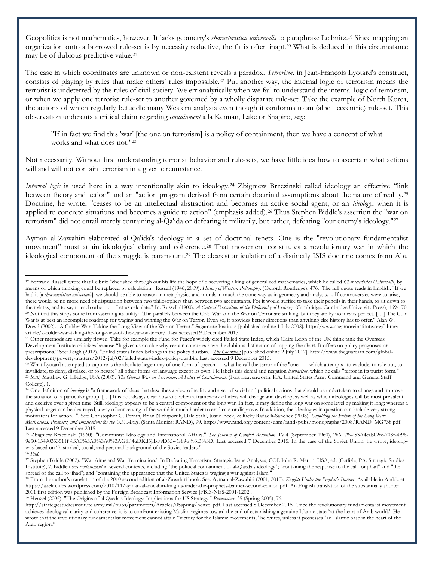Geopolitics is not mathematics, however. It lacks geometry's *characteristica universalis* to paraphrase Leibnitz.<sup>19</sup> Since mapping an organization onto a borrowed rule-set is by necessity reductive, the fit is often inapt.<sup>20</sup> What is deduced in this circumstance may be of dubious predictive value.<sup>21</sup>

The case in which coordinates are unknown or non-existent reveals a paradox. *Terrorism*, in Jean-François Lyotard's construct, consists of playing by rules that make others' rules impossible.<sup>22</sup> Put another way, the internal logic of terrorism means the terrorist is undeterred by the rules of civil society. We err analytically when we fail to understand the internal logic of terrorism, or when we apply one terrorist rule-set to another governed by a wholly disparate rule-set. Take the example of North Korea, the actions of which regularly befuddle many Western analysts even though it conforms to an (albeit eccentric) rule-set. This observation undercuts a critical claim regarding *containment* à la Kennan, Lake or Shapiro, *viz.*:

"If in fact we find this 'war' [the one on terrorism] is a policy of containment, then we have a concept of what works and what does not."<sup>23</sup>

Not necessarily. Without first understanding terrorist behavior and rule-sets, we have little idea how to ascertain what actions will and will not contain terrorism in a given circumstance.

*Internal logic* is used here in a way intentionally akin to ideology.<sup>24</sup> Zbigniew Brzezinski called ideology an effective "link between theory and action" and an "action program derived from certain doctrinal assumptions about the nature of reality.<sup>25</sup> Doctrine, he wrote, "ceases to be an intellectual abstraction and becomes an active social agent, or an *ideology*, when it is applied to concrete situations and becomes a guide to action" (emphasis added).<sup>26</sup> Thus Stephen Biddle's assertion the "war on terrorism" did not entail merely containing al-Qa'ida or defeating it militarily, but rather, defeating "our enemy's ideology."<sup>27</sup>

Ayman al-Zawahiri elaborated al-Qa'ida's ideology in a set of doctrinal tenets. One is the "revolutionary fundamentalist movement" must attain ideological clarity and coherence.<sup>28</sup> That movement constitutes a revolutionary war in which the ideological component of the struggle is paramount.<sup>29</sup> The clearest articulation of a distinctly ISIS doctrine comes from Abu

l <sup>19</sup> Bertrand Russell wrote that Leibniz "cherished through out his life the hope of discovering a king of generalized mathematics, which he called *Characteristica Universalis*, by means of which thinking could be replaced by calculation. [Russell (1946; 2009). *History of Western Philosophy*. (Oxford: Routledge), 476.] The full quote reads in English: "If we had it [a *characteristica universalis*], we should be able to reason in metaphysics and morals in much the same way as in geometry and analysis. ... If controversies were to arise, there would be no more need of disputation between two philosophers than between two accountants. For it would suffice to take their pencils in their hands, to sit down to their slates, and to say to each other . . . : Let us calculate." In: Russell (1900). *A Critical Exposition of the Philosophy of Leibniz*. (Cambridge: Cambridge University Press), 169-170. <sup>20</sup> Not that this stops some from asserting its utility: "The parallels between the Cold War and the War on Terror are striking, but they are by no means perfect. [. . .] The Cold War is at best an incomplete roadmap for waging and winning the War on Terror. Even so, it provides better directions than anything else history has to offer." Alan W. Dowd (2002). "A Colder War: Taking the Long View of the War on Terror." Sagamore Institute [published online 1 July 2002]. http://www.sagamoreinstitute.org/libraryarticle/a-colder-war-taking-the-long-view-of-the-war-on-terror/. Last accessed 9 December 2015.

<sup>&</sup>lt;sup>21</sup> Other methods are similarly flawed. Take for example the Fund for Peace's widely cited Failed State Index, which Claire Leigh of the UK think tank the Overseas Development Institute criticizes because "It gives us no clue why certain countries have the dubious distinction of topping the chart. It offers no policy prognoses or prescriptions." See: Leigh (2012). "Failed States Index belongs in the policy dustbin." *The Guardian* [published online 2 July 2012]. http://www.theguardian.com/globaldevelopment/poverty-matters/2012/jul/02/failed-states-index-policy-dustbin. Last accessed 9 December 2015.

<sup>&</sup>lt;sup>22</sup> What Lyotard attempted to capture is the absolute hegemony of one form of speech — what he call the terror of the "one" — which attempts "to exclude, to rule out, to invalidate, to deny, displace, or to negate" all other forms of language except its own. He labels this denial and negation *barbarism*, which he calls "terror in its purist form." <sup>23</sup> MAJ Matthew G. Elledge, USA (2003). *The Global War on Terrorism: A Policy of Containment*. (Fort Leavenworth, KA: United States Army Command and General Staff College), 1.

<sup>&</sup>lt;sup>24</sup> One definition of *ideology* is "a framework of ideas that describes a view of reality and a set of social and political actions that should be undertaken to change and improve the situation of a particular group. [. . .] It is not always clear how and when a framework of ideas will change and develop, as well as which ideologies will be most prevalent and decisive over a given time. Still, ideology appears to be a central component of the long war. In fact, it may define the long war on some level by making it long; whereas a physical target can be destroyed, a way of conceiving of the world is much harder to eradicate or disprove. In addition, the ideologies in question can include very strong motivators for action...". See: Christopher G. Pernin, Brian Nichiporuk, Dale Stahl, Justin Beck, & Ricky Radaelli-Sanchez (2008). *Unfolding the Future of the Long War: Motivations, Prospects, and Implications for the U.S. Army*. (Santa Monica: RAND), 99. http://www.rand.org/content/dam/rand/pubs/monographs/2008/RAND\_MG738.pdf. Last accessed 9 December 2015.

<sup>25</sup> Zbigniew Brzezinski (1960). "Communist Ideology and International Affairs." *The Journal of Conflict Resolution*. IV:4 (September 1960), 266. 7%253A4cab02fe-708f-4f96- 9e50-15490353511f%3A0%3A0%3A0%3AG8P4uDKd5jiBF9D55wG89w%3D%3D. Last accessed 7 December 2015. In the case of the Soviet Union, he wrote, ideology was based on "historical, social, and personal background of the Soviet leaders."

<sup>26</sup> *Ibid.*

<sup>27</sup> Stephen Biddle (2002). "War Aims and War Termination." In Defeating Terrorism: Strategic Issue Analyses, COL John R. Martin, USA, ed. (Carlisle, PA: Strategic Studies Institute), 7. Biddle uses *containment* in several contexts, including "the political containment of al-Qaeda's ideology"; "containing the response to the call for jihad" and "the spread of the call to jihad"; and "containing the appearance that the United States is waging a war against Islam."

<sup>28</sup> From the author's translation of the 2010 second edition of al-Zawahiri book. See: Ayman al-Zawahiri (2001; 2010). *Knights Under the Prophet's Banner*. Available in Arabic at https://azelin.files.wordpress.com/2010/11/ayman-al-zawahiri-knights-under-the-prophets-banner-second-edition.pdf. An English translation of the substantially shorter 2001 first edition was published by the Foreign Broadcast Information Service [FBIS-NES-2001-1202].

<sup>29</sup> Henzel (2005). "The Origins of al Qaeda's Ideology: Implications for US Strategy." *Parameters.* 35 (Spring 2005), 76.

http://strategicstudiesinstitute.army.mil/pubs/parameters/Articles/05spring/henzel.pdf. Last accessed 8 December 2015. Once the revolutionary fundamentalist movement achieves ideological clarity and coherence, it is to confront existing Muslim regimes toward the end of establishing a genuine Islamic state "at the heart of Arab world." He wrote that the revolutionary fundamentalist movement cannot attain "victory for the Islamic movements," he writes, unless it possesses "an Islamic base in the heart of the Arab region."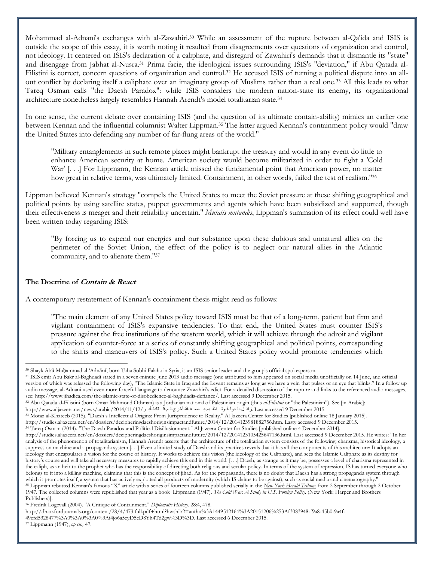Mohammad al-Adnani's exchanges with al-Zawahiri.<sup>30</sup> While an assessment of the rupture between al-Qa'ida and ISIS is outside the scope of this essay, it is worth noting it resulted from disagreements over questions of organization and control, not ideology. It centered on ISIS's declaration of a caliphate, and disregard of Zawahiri's demands that it dismantle its "state" and disengage from Jabhat al-Nusra.<sup>31</sup> Prima facie, the ideological issues surrounding ISIS's "deviation," if Abu Qatada al-Filistini is correct, concern questions of organization and control.<sup>32</sup> He accused ISIS of turning a political dispute into an allout conflict by declaring itself a caliphate over an imaginary group of Muslims rather than a real one.<sup>33</sup> All this leads to what Tareq Osman calls "the Daesh Paradox": while ISIS considers the modern nation-state its enemy, its organizational architecture nonetheless largely resembles Hannah Arendt's model totalitarian state.<sup>34</sup>

In one sense, the current debate over containing ISIS (and the question of its ultimate contain-ability) mimics an earlier one between Kennan and the influential columnist Walter Lippman.<sup>35</sup> The latter argued Kennan's containment policy would "draw the United States into defending any number of far-flung areas of the world."

"Military entanglements in such remote places might bankrupt the treasury and would in any event do little to enhance American security at home. American society would become militarized in order to fight a 'Cold War' [...] For Lippmann, the Kennan article missed the fundamental point that American power, no matter how great in relative terms, was ultimately limited. Containment, in other words, failed the test of realism."<sup>36</sup>

Lippman believed Kennan's strategy "compels the United States to meet the Soviet pressure at these shifting geographical and political points by using satellite states, puppet governments and agents which have been subsidized and supported, though their effectiveness is meager and their reliability uncertain." *Mutatis mutandis*, Lippman's summation of its effect could well have been written today regarding ISIS:

"By forcing us to expend our energies and our substance upon these dubious and unnatural allies on the perimeter of the Soviet Union, the effect of the policy is to neglect our natural allies in the Atlantic community, and to alienate them."<sup>37</sup>

#### **The Doctrine of Contain & React**

A contemporary restatement of Kennan's containment thesis might read as follows:

"The main element of any United States policy toward ISIS must be that of a long-term, patient but firm and vigilant containment of ISIS's expansive tendencies. To that end, the United States must counter ISIS's pressure against the free institutions of the western world, which it will achieve through the adroit and vigilant application of counter-force at a series of constantly shifting geographical and political points, corresponding to the shifts and maneuvers of ISIS's policy. Such a United States policy would promote tendencies which

<sup>32</sup> Abu Qatada al-Filistini (born Omar Mahmoud Othman) is a Jordanian national of Palestinian origin (thus *al-Filistini* or "the Palestinian"). See [in Arabic]:

http://studies.aljazeera.net/en/dossiers/decipheringdaeshoriginsimpactandfuture/2014/12/2014123981882756.htm. Lasty accessed 9 December 2015. <sup>34</sup> Tareq Osman (2014). "The Daesh Paradox and Political Disillusionment." Al Jazeera Center for Studies [published online 4 December 2014].

<sup>30</sup> Shayk Abū Muḥammad al 'Adnānī, born Taha Sobhi Falaha in Syria, is an ISIS senior leader and the group's official spokesperson.

<sup>31</sup> ISIS emir Abu Bakr al-Baghdadi stated in a seven-minute June 2013 audio message (one attributed to him appeared on social media unofficially on 14 June, and official version of which was released the following day), "The Islamic State in Iraq and the Levant remains as long as we have a vein that pulses or an eye that blinks." In a follow up audio message, al-Adnani used even more forceful language to denounce Zawahiri's edict. For a detailed discussion of the rupture and links to the referenced audio messages, see: http://www.jihadica.com/the-islamic-state-of-disobedience-al-baghdadis-defiance/. Last accessed 9 December 2015.

<sup>.1015.</sup> December 2015. زائ ل-ال دول تموت نظ يم-بـ صـ ف قة-أخرج-ل م-ق تادة-أبـ و/2014/11/12/arabic/2014/11/12 .jast accessed 9 December 2015

<sup>33</sup> Motaz al-Khateeb (2015). "Daesh's Intellectual Origins: From Jurisprudence to Reality." Al Jazeera Center for Studies [published online 18 January 2015].

http://studies.aljazeera.net/en/dossiers/decipheringdaeshoriginsimpactandfuture/2014/12/2014123105425647136.html. Last accessed 9 December 2015. He writes: "In her analysis of the phenomenon of totalitarianism, Hannah Arendt asserts that the architecture of the totalitarian system consists of the following: charisma, historical ideology, a suppression machine and a propaganda system [. . ] Even a limited study of Daesh and its practices reveals that it has all the components of this architecture: It adopts an ideology that encapsulates a vision for the course of history. It works to achieve this vision (the ideology of the Caliphate), and sees the Islamic Caliphate as its destiny for history's course and will take all necessary measures to rapidly achieve this end in this world. [...] Daesh, as strange as it may be, possesses a level of charisma represented in the caliph, as an heir to the prophet who has the responsibility of directing both religious and secular policy. In terms of the system of repression, IS has turned everyone who belongs to it into a killing machine, claiming that this is the concept of jihad. As for the propaganda, there is no doubt that Daesh has a strong propaganda system through which it promotes itself, a system that has actively exploited all products of modernity (which IS claims to be against), such as social media and cinematography." <sup>35</sup> Lippman rebutted Kennan's famous "X" article with a series of fourteen columns published serially in the *New York Herald Tribune* from 2 September through 2 October 1947. The collected columns were republished that year as a book [Lippmann (1947). *The Cold War: A Study in U.S. Foreign Policy.* (New York: Harper and Brothers Publishers)].

<sup>36</sup> Fredrik Logevall (2004). "A Critique of Containment." *Diplomatic History*. 28:4, 478.

http://dh.oxfordjournals.org/content/28/4/473.full.pdf+html?hwshib2=authn%3A1449512164%3A20151206%253Af3083948-f9a8-45b0-9a4f-

<sup>49</sup>efd5328477%3A0%3A0%3A0%3Ai4jo6a5eyD5eD8Yh4Td2gw%3D%3D. Last accessed 6 December 2015.

<sup>37</sup> Lippmann (1947), *op cit.,* 47.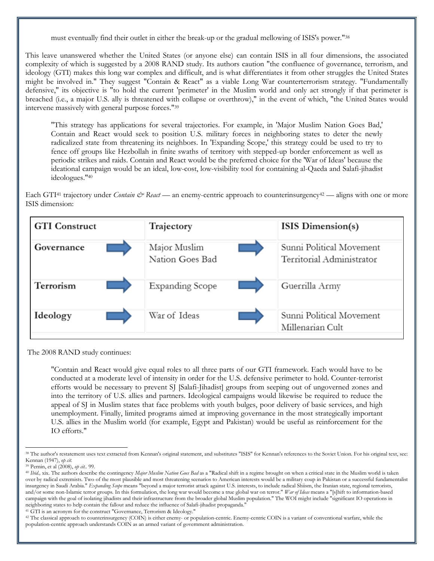must eventually find their outlet in either the break-up or the gradual mellowing of ISIS's power."<sup>38</sup>

This leave unanswered whether the United States (or anyone else) can contain ISIS in all four dimensions, the associated complexity of which is suggested by a 2008 RAND study. Its authors caution "the confluence of governance, terrorism, and ideology (GTI) makes this long war complex and difficult, and is what differentiates it from other struggles the United States might be involved in." They suggest "Contain & React" as a viable Long War counterterrorism strategy. "Fundamentally defensive," its objective is "to hold the current 'perimeter' in the Muslim world and only act strongly if that perimeter is breached (i.e., a major U.S. ally is threatened with collapse or overthrow)," in the event of which, "the United States would intervene massively with general purpose forces."<sup>39</sup>

"This strategy has applications for several trajectories. For example, in 'Major Muslim Nation Goes Bad,' Contain and React would seek to position U.S. military forces in neighboring states to deter the newly radicalized state from threatening its neighbors. In 'Expanding Scope,' this strategy could be used to try to fence off groups like Hezbollah in finite swaths of territory with stepped-up border enforcement as well as periodic strikes and raids. Contain and React would be the preferred choice for the 'War of Ideas' because the ideational campaign would be an ideal, low-cost, low-visibility tool for containing al-Qaeda and Salafi-jihadist ideologues."<sup>40</sup>

Each GTI<sup>41</sup> trajectory under *Contain & React* — an enemy-centric approach to counterinsurgency<sup>42</sup> — aligns with one or more ISIS dimension:



The 2008 RAND study continues:

"Contain and React would give equal roles to all three parts of our GTI framework. Each would have to be conducted at a moderate level of intensity in order for the U.S. defensive perimeter to hold. Counter-terrorist efforts would be necessary to prevent SJ [Salafi-Jihadist] groups from seeping out of ungoverned zones and into the territory of U.S. allies and partners. Ideological campaigns would likewise be required to reduce the appeal of SJ in Muslim states that face problems with youth bulges, poor delivery of basic services, and high unemployment. Finally, limited programs aimed at improving governance in the most strategically important U.S. allies in the Muslim world (for example, Egypt and Pakistan) would be useful as reinforcement for the IO efforts."

<sup>&</sup>lt;sup>38</sup> The author's restatement uses text extracted from Kennan's original statement, and substitutes "ISIS" for Kennan's references to the Soviet Union. For his original text, see: Kennan (1947), *op cit.*

<sup>39</sup> Pernin, et al (2008), *op cit.*. 99.

<sup>40</sup> *Ibid.,* xix. The authors describe the contingency *Major Muslim Nation Goes Bad* as a "Radical shift in a regime brought on when a critical state in the Muslim world is taken over by radical extremists. Two of the most plausible and most threatening scenarios to American interests would be a military coup in Pakistan or a successful fundamentalist insurgency in Saudi Arabia." *Expanding Scope* means "beyond a major terrorist attack against U.S. interests, to include radical Shiism, the Iranian state, regional terrorists, and/or some non-Islamic terror groups. In this formulation, the long war would become a true global war on terror." *War of Ideas* means a "[s]hift to information-based campaign with the goal of isolating jihadists and their infrastructure from the broader global Muslim population." The WOI might include "significant IO operations in neighboring states to help contain the fallout and reduce the influence of Salafi-jihadist propaganda."

<sup>41</sup> GTI is an acronym for the construct "Governance, Terrorism & Ideology."

<sup>&</sup>lt;sup>42</sup> The classical approach to counterinsurgency (COIN) is either enemy- or population-centric. Enemy-centric COIN is a variant of conventional warfare, while the population-centric approach understands COIN as an armed variant of government administration.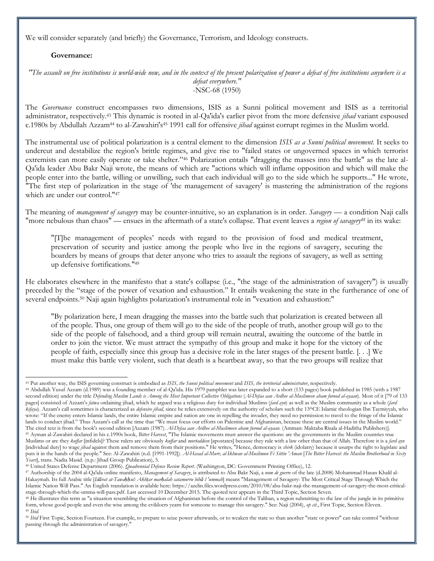We will consider separately (and briefly) the Governance, Terrorism, and Ideology constructs.

#### **Governance:**

*"The assault on free institutions is world-wide now, and in the context of the present polarization of power a defeat of free institutions anywhere is a defeat everywhere."* -NSC-68 (1950)

The *Governance* construct encompasses two dimensions, ISIS as a Sunni political movement and ISIS as a territorial administrator, respectively.<sup>43</sup> This dynamic is rooted in al-Qa'ida's earlier pivot from the more defensive *jihad* variant espoused c.1980s by Abdullah Azzam<sup>44</sup> to al-Zawahiri's<sup>45</sup> 1991 call for offensive *jihad* against corrupt regimes in the Muslim world.

The instrumental use of political polarization is a central element to the dimension *ISIS as a Sunni political movement.* It seeks to undercut and destabilize the region's brittle regimes, and give rise to "failed states or ungoverned spaces in which terrorist extremists can more easily operate or take shelter."<sup>46</sup> Polarization entails "dragging the masses into the battle" as the late al-Qa'ida leader Abu Bakr Naji wrote, the means of which are "actions which will inflame opposition and which will make the people enter into the battle, willing or unwilling, such that each individual will go to the side which he supports..." He wrote, "The first step of polarization in the stage of 'the management of savagery' is mastering the administration of the regions which are under our control."<sup>47</sup>

The meaning of *management of savagery* may be counter-intuitive, so an explanation is in order. *Savagery* — a condition Naji calls "more nebulous than chaos" — ensues in the aftermath of a state's collapse. That event leaves a *region of savagery<sup>48</sup>* in its wake:

"[T]he management of peoples' needs with regard to the provision of food and medical treatment, preservation of security and justice among the people who live in the regions of savagery, securing the boarders by means of groups that deter anyone who tries to assault the regions of savagery, as well as setting up defensive fortifications."<sup>49</sup>

He elaborates elsewhere in the manifesto that a state's collapse (i.e., "the stage of the administration of savagery") is usually preceded by the "stage of the power of vexation and exhaustion." It entails weakening the state in the furtherance of one of several endpoints.<sup>50</sup> Naji again highlights polarization's instrumental role in "vexation and exhaustion:"

"By polarization here, I mean dragging the masses into the battle such that polarization is created between all of the people. Thus, one group of them will go to the side of the people of truth, another group will go to the side of the people of falsehood, and a third group will remain neutral, awaiting the outcome of the battle in order to join the victor. We must attract the sympathy of this group and make it hope for the victory of the people of faith, especially since this group has a decisive role in the later stages of the present battle. [. . .] We must make this battle very violent, such that death is a heartbeat away, so that the two groups will realize that

<sup>44</sup> Abdullah Yusuf Azzam (d.1989) was a founding member of al-Qa'ida. His 1979 pamphlet was later expanded to a short (133 pages) book published in 1985 (with a 1987 second edition) under the title *Defending Muslim Lands is Among the Most Important Collective Obligations* (*Al-Defaa aan Ardhee al-Muslimeen aham furood al-ayaan*). Most of it [79 of 133 pages] consisted of Azzam's *fatwa* ordaining jihad, which he argued was a religious duty for individual Muslims (*fard ayn*) as well as the Muslim community as a whole (*fard kifaya*). Azzam's call sometimes is characterized as *defensive jihad,* since he relies extensively on the authority of scholars such the 13thCE Islamic theologian Ibn Taymiyyah, who wrote: "If the enemy enters Islamic lands, the entire Islamic empire and nation are one in repelling the invader, they need no permission to travel to the fringe of the Islamic lands to conduct jihad." Thus Azzam's call at the time that "We must focus our efforts on Palestine and Afghanistan, because these are central issues in the Muslim world." The cited text is from the book's second edition [Azzam (1987). *Al-Defaa aan Ardhee al-Muslimeen aham furood al-ayaan.* (Amman: Maktaba Risala al-Haditha Publishers)]. <sup>45</sup> Ayman al-Zawahiri declared in his c.1990s book, *Bitter Harvest*, "The Islamic movements must answer the questions: are the governments in the Muslim countries true Muslims or are they *kuffar* [infidels]? These rulers are obviously *kuffar* and *murtaddeen* [apostates] because they rule with a law other than that of Allah. Therefore it is a *fard ayn* [individual duty] to wage *jihad* against them and remove them from their positions." He writes, "Hence, democracy is *shirk* (idolatry) because it usurps the right to legislate and puts it in the hands of the people." See: Al-Zawahiri (n.d. [1991-1992]). *Al-Hasad al-Murr, al-Ikhwan al-Muslimun Fi Sittin 'Aman* [*The Bitter Harvest: the Muslim Brotherhood in Sixty Years*], trans. Nadia Masid. (n.p.: Jihad Group Publication), 5.

 $\overline{a}$ <sup>43</sup> Put another way, the ISIS governing construct is embodied as *ISIS, the Sunni political movement* and *ISIS, the territorial administrator*, respectively.

<sup>46</sup> United States Defense Department (2006). *Quadrennial Defense Review Report*. (Washington, DC: Government Printing Office), 12.

<sup>47</sup> Authorship of the 2004 al-Qa'ida online manifesto, *Management of Savagery*, is attributed to Abu Bakr Naji, a *nom de guerre* of the late (d.2008) Mohammad Hasan Khalil al-Hakaymah. Its full Arabic title [Idarat at-Tawahhus: Akhtar marhalah satamurru biha l'ummah] means "Management of Savagery: The Most Critical Stage Through Which the Islamic Nation Will Pass." An English translation is available here: https://azelin.files.wordpress.com/2010/08/abu-bakr-naji-the-management-of-savagery-the-most-criticalstage-through-which-the-umma-will-pass.pdf. Last accessed 10 December 2015. The quoted text appears in the Third Topic, Section Seven.

<sup>&</sup>lt;sup>48</sup> He illustrates this term as "a situation resembling the situation of Afghanistan before the control of the Taliban, a region submitting to the law of the jungle in its primitive form, whose good people and even the wise among the evildoers yearn for someone to manage this savagery." See: Naji (2004), *op cit.*, First Topic, Section Eleven. <sup>49</sup> *Ibid.* 

<sup>&</sup>lt;sup>50</sup> Ibid First Topic, Section Fourteen. For example, to prepare to seize power afterwards, or to weaken the state so than another "state or power" can take control "without passing through the administration of savagery."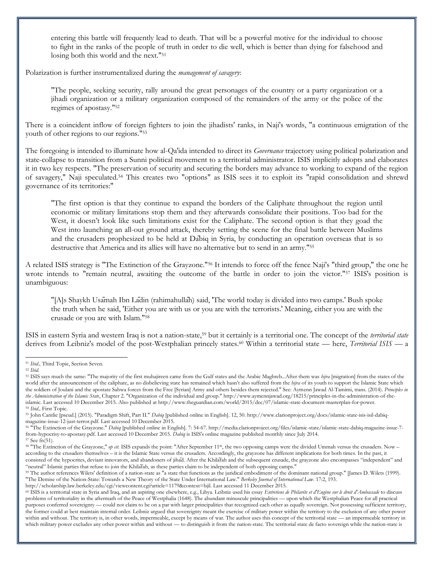<span id="page-7-0"></span>entering this battle will frequently lead to death. That will be a powerful motive for the individual to choose to fight in the ranks of the people of truth in order to die well, which is better than dying for falsehood and losing both this world and the next."<sup>51</sup>

Polarization is further instrumentalized during the *management of savagery*:

"The people, seeking security, rally around the great personages of the country or a party organization or a jihadi organization or a military organization composed of the remainders of the army or the police of the regimes of apostasy."<sup>52</sup>

There is a coincident inflow of foreign fighters to join the jihadists' ranks, in Naji's words, "a continuous emigration of the youth of other regions to our regions."<sup>53</sup>

The foregoing is intended to illuminate how al-Qa'ida intended to direct its *Governance* trajectory using political polarization and state-collapse to transition from a Sunni political movement to a territorial administrator. ISIS implicitly adopts and elaborates it in two key respects. "The preservation of security and securing the borders may advance to working to expand of the region of savagery," Naji speculated.<sup>54</sup> This creates two "options" as ISIS sees it to exploit its "rapid consolidation and shrewd governance of its territories:"

"The first option is that they continue to expand the borders of the Caliphate throughout the region until economic or military limitations stop them and they afterwards consolidate their positions. Too bad for the West, it doesn't look like such limitations exist for the Caliphate. The second option is that they goad the West into launching an all-out ground attack, thereby setting the scene for the final battle between Muslims and the crusaders prophesized to be held at Dābiq in Syria, by conducting an operation overseas that is so destructive that America and its allies will have no alternative but to send in an army."<sup>55</sup>

A related ISIS strategy is "The Extinction of the Grayzone."<sup>56</sup> It intends to force off the fence Naji's "third group," the one he wrote intends to "remain neutral, awaiting the outcome of the battle in order to join the victor."<sup>57</sup> ISIS's position is unambiguous:

"[A]s Shaykh Usāmah Ibn Lādin (rahimahullāh) said, 'The world today is divided into two camps.' Bush spoke the truth when he said, 'Either you are with us or you are with the terrorists.' Meaning, either you are with the crusade or you are with Islam."<sup>58</sup>

ISIS in eastern Syria and western Iraq is not a nation-state,<sup>59</sup> but it certainly is a territorial one. The concept of the *territorial state* derives from Leibniz's model of the post-Westphalian princely states.<sup>60</sup> Within a territorial state — here, *Territorial ISIS* — a

<sup>56</sup> "The Extinction of the Grayzone." *Dabiq* [published online in English]. 7: 54-67. http://media.clarionproject.org/files/islamic-state/islamic-state-dabiq-magazine-issue-7 from-hypocrisy-to-apostasy.pdf. Last accessed 10 December 2015. *Dabiq* is ISIS's online magazine published monthly since July 2014.

 $\overline{a}$ <sup>51</sup> *Ibid.,* Third Topic, Section Seven.

<sup>52</sup> *Ibid.*

<sup>&</sup>lt;sup>53</sup> ISIS says much the same: "The majority of the first muhajireen came from the Gulf states and the Arabic Maghreb...After them was *hijra* [migration] from the states of the world after the announcement of the caliphate, as no disbelieving state has remained which hasn't also suffered from the *hijra* of its youth to support the Islamic State which the soldiers of Joulani and the apostate Sahwa forces from the Free [Syrian] Army and others besides them rejected." See: Aymenn Jawad Al-Tamimi, trans. (2014). *Principles in the Administration of the Islamic State*, Chapter 2. "Organization of the individual and group." http://www.aymennjawad.org/18215/principles-in-the-administration-of-theislamic. Last accessed 10 December 2015. Also published at http://www.theguardian.com/world/2015/dec/07/islamic-state-document-masterplan-for-power. <sup>54</sup> *Ibid.,* First Topic.

<sup>55</sup> John Cantlie [pseud.] (2015). "Paradigm Shift, Part II." *Dabiq* [published online in English]. 12, 50. http://www.clarionproject.org/docs/islamic-state-isis-isil-dabiqmagazine-issue-12-just-terror.pdf. Last accessed 10 December 2015.

<sup>57</sup> See f[n\(51\)](#page-7-0).

<sup>&</sup>lt;sup>58</sup> "The Extinction of the Grayzone," *op cit*. ISIS expands the point: "After September 11<sup>th</sup>, the two opposing camps were the divided Ummah versus the crusaders. Now – according to the crusaders themselves – it is the Islamic State versus the crusaders. Accordingly, the grayzone has different implications for both times. In the past, it consisted of the hypocrites, deviant innovators, and abandoners of jihād. After the Khilāfah and the subsequent crusade, the grayzone also encompasses "independent" and "neutral" Islamic parties that refuse to join the Khilāfah, as these parties claim to be independent of both opposing camps."

<sup>&</sup>lt;sup>59</sup> The author references Wilets' definition of a nation-state as "a state that functions as the juridical embodiment of the dominant national group." [James D. Wilets (1999). "The Demise of the Nation-State: Towards a New Theory of the State Under International Law." *Berkeley Journal of International Law*. 17:2, 193.

http://scholarship.law.berkeley.edu/cgi/viewcontent.cgi?article=1179&context=bjil. Last accessed 11 December 2015.

<sup>60</sup> ISIS is a territorial state in Syria and Iraq, and an aspiring one elsewhere, e.g., Libya. Leibniz used his essay *Entretiens de Philaréte et d'Eugène sur le droit d'Ambassade* to discuss problems of territoriality in the aftermath of the Peace of Westphalia (1648). The abundant minuscule principalities — upon which the Westphalian Peace for all practical purposes conferred sovereignty — could not claim to be on a par with larger principalities that recognized each other as equally sovereign. Not possessing sufficient territory, the former could at best maintain internal order. Leibniz argued that sovereignty meant the exercise of military power within the territory to the exclusion of any other power within and without. The territory is, in other words, impermeable, except by means of war. The author uses this concept of the territorial state — an impermeable territory in which military power excludes any other power within and without — to distinguish it from the nation-state. The territorial state de facto sovereign while the nation-state is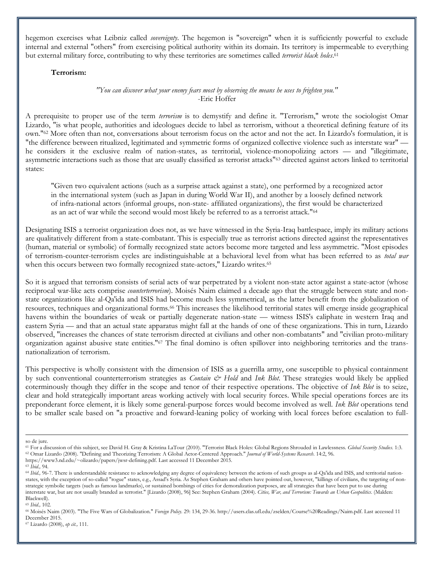hegemon exercises what Leibniz called *sovereignty*. The hegemon is "sovereign" when it is sufficiently powerful to exclude internal and external "others" from exercising political authority within its domain. Its territory is impermeable to everything but external military force, contributing to why these territories are sometimes called *terrorist black holes*. 61

#### **Terrorism:**

*"You can discover what your enemy fears most by observing the means he uses to frighten you."* -Eric Hoffer

A prerequisite to proper use of the term *terrorism* is to demystify and define it. "Terrorism," wrote the sociologist Omar Lizardo, "is what people, authorities and ideologues decide to label as terrorism, without a theoretical defining feature of its own."<sup>62</sup> More often than not, conversations about terrorism focus on the actor and not the act. In Lizardo's formulation, it is "the difference between ritualized, legitimated and symmetric forms of organized collective violence such as interstate war" he considers it the exclusive realm of nation-states, as territorial, violence-monopolizing actors — and "illegitimate, asymmetric interactions such as those that are usually classified as terrorist attacks"<sup>63</sup> directed against actors linked to territorial states:

"Given two equivalent actions (such as a surprise attack against a state), one performed by a recognized actor in the international system (such as Japan in during World War II), and another by a loosely defined network of infra-national actors (informal groups, non-state- affiliated organizations), the first would be characterized as an act of war while the second would most likely be referred to as a terrorist attack."<sup>64</sup>

Designating ISIS a terrorist organization does not, as we have witnessed in the Syria-Iraq battlespace, imply its military actions are qualitatively different from a state-combatant. This is especially true as terrorist actions directed against the representatives (human, material or symbolic) of formally recognized state actors become more targeted and less asymmetric. "Most episodes of terrorism-counter-terrorism cycles are indistinguishable at a behavioral level from what has been referred to as *total war* when this occurs between two formally recognized state-actors," Lizardo writes.<sup>65</sup>

So it is argued that terrorism consists of serial acts of war perpetrated by a violent non-state actor against a state-actor (whose reciprocal war-like acts comprise *counterterrorism*). Moisés Naim claimed a decade ago that the struggle between state and nonstate organizations like al-Qa'ida and ISIS had become much less symmetrical, as the latter benefit from the globalization of resources, techniques and organizational forms.<sup>66</sup> This increases the likelihood territorial states will emerge inside geographical havens within the boundaries of weak or partially degenerate nation-state — witness ISIS's caliphate in western Iraq and eastern Syria — and that an actual state apparatus might fall at the hands of one of these organizations. This in turn, Lizardo observed, "increases the chances of state terrorism directed at civilians and other non-combatants" and "civilian proto-military organization against abusive state entities."<sup>67</sup> The final domino is often spillover into neighboring territories and the transnationalization of terrorism.

This perspective is wholly consistent with the dimension of ISIS as a guerrilla army, one susceptible to physical containment by such conventional counterterrorism strategies as *Contain & Hold* and *Ink Blot*. These strategies would likely be applied coterminously though they differ in the scope and tenor of their respective operations. The objective of *Ink Blot* is to seize, clear and hold strategically important areas working actively with local security forces. While special operations forces are its preponderant force element, it is likely some general-purpose forces would become involved as well. *Ink Blot* operations tend to be smaller scale based on "a proactive and forward-leaning policy of working with local forces before escalation to full-

so de jure.

<sup>61</sup> For a discussion of this subject, see David H. Gray & Kristina LaTour (2010). "Terrorist Black Holes: Global Regions Shrouded in Lawlessness. *Global Security Studies*. 1:3. <sup>62</sup> Omar Lizardo (2008). "Defining and Theorizing Terrorism: A Global Actor-Centered Approach." *Journal of World-Systems Research*. 14:2, 96.

https://www3.nd.edu/~olizardo/papers/jwsr-defining.pdf. Last accessed 11 December 2015.

<sup>63</sup> *Ibid.,* 94.

<sup>&</sup>lt;sup>64</sup> Ibid., 96-7. There is understandable resistance to acknowledging any degree of equivalency between the actions of such groups as al-Qa'ida and ISIS, and territorial nationstates, with the exception of so-called "rogue" states, e.g., Assad's Syria. As Stephen Graham and others have pointed out, however, "killings of civilians, the targeting of nonstrategic symbolic targets (such as famous landmarks), or sustained bombings of cities for demoralization purposes, are all strategies that have been put to use during interstate war, but are not usually branded as terrorist." [Lizardo (2008), 96] See: Stephen Graham (2004). *Cities, War, and Terrorism: Towards an Urban Geopolitics*. (Malden: Blackwell).

<sup>65</sup> *Ibid.,* 102.

<sup>66</sup> Moisés Naim (2003). "The Five Wars of Globalization." *Foreign Policy*. 29: 134, 29-36. http://users.clas.ufl.edu/zselden/Course%20Readings/Naim.pdf. Last accessed 11 December 2015.

<sup>67</sup> Lizardo (2008), *op cit.,* 111.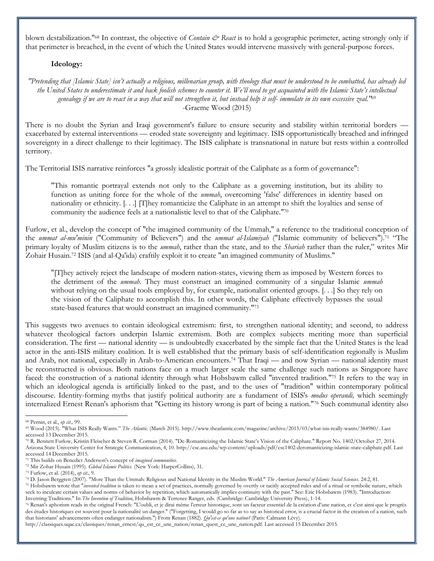blown destabilization."<sup>68</sup> In contrast, the objective of *Contain & React* is to hold a geographic perimeter, acting strongly only if that perimeter is breached, in the event of which the United States would intervene massively with general-purpose forces.

#### **Ideology:**

*"Pretending that [Islamic State] isn't actually a religious, millenarian group, with theology that must be understood to be combatted, has already led the United States to underestimate it and back foolish schemes to counter it. We'll need to get acquainted with the Islamic State's intellectual genealogy if we are to react in a way that will not strengthen it, but instead help it self- immolate in its own excessive zeal."*<sup>69</sup> -Graeme Wood (2015)

There is no doubt the Syrian and Iraqi government's failure to ensure security and stability within territorial borders exacerbated by external interventions — eroded state sovereignty and legitimacy. ISIS opportunistically breached and infringed sovereignty in a direct challenge to their legitimacy. The ISIS caliphate is transnational in nature but rests within a controlled territory.

The Territorial ISIS narrative reinforces "a grossly idealistic portrait of the Caliphate as a form of governance":

"This romantic portrayal extends not only to the Caliphate as a governing institution, but its ability to function as uniting force for the whole of the *ummah*, overcoming 'false' differences in identity based on nationality or ethnicity. [. . .] [T]hey romanticize the Caliphate in an attempt to shift the loyalties and sense of community the audience feels at a nationalistic level to that of the Caliphate."<sup>70</sup>

Furlow, et al., develop the concept of "the imagined community of the Ummah," a reference to the traditional conception of the *ummat al-mu'minin* ("Community of Believers") and the *ummat al-Islamiyah* ("Islamic community of believers").<sup>71</sup> "The primary loyalty of Muslim citizens is to the *ummah*, rather than the state, and to the *Shariah* rather than the ruler," writes Mir Zohair Husain.<sup>72</sup> ISIS (and al-Qa'ida) craftily exploit it to create "an imagined community of Muslims."

"[T]hey actively reject the landscape of modern nation-states, viewing them as imposed by Western forces to the detriment of the *ummah*. They must construct an imagined community of a singular Islamic *ummah* without relying on the usual tools employed by, for example, nationalist oriented groups. [. . .] So they rely on the vision of the Caliphate to accomplish this. In other words, the Caliphate effectively bypasses the usual state-based features that would construct an imagined community."<sup>73</sup>

This suggests two avenues to contain ideological extremism: first, to strengthen national identity; and second, to address whatever theological factors underpin Islamic extremism. Both are complex subjects meriting more than superficial consideration. The first — national identity — is undoubtedly exacerbated by the simple fact that the United States is the lead actor in the anti-ISIS military coalition. It is well established that the primary basis of self-identification regionally is Muslim and Arab, not national, especially in Arab-to-American encounters.<sup>74</sup> That Iraqi — and now Syrian — national identity must be reconstructed is obvious. Both nations face on a much larger scale the same challenge such nations as Singapore have faced: the construction of a national identity through what Hobsbawm called "invented tradition."<sup>75</sup> It refers to the way in which an ideological agenda is artificially linked to the past, and to the uses of "tradition" within contemporary political discourse. Identity-forming myths that justify political authority are a fundament of ISIS's *modus operandi,* which seemingly internalized Ernest Renan's aphorism that "Getting its history wrong is part of being a nation."<sup>76</sup> Such communal identity also

<sup>68</sup> Pernin, et al., *op cit.,* 99.

<sup>69</sup> Wood (2015). "What ISIS Really Wants." *The Atlantic*. (March 2015). http://www.theatlantic.com/magazine/archive/2015/03/what-isis-really-wants/384980/. Last accessed 13 December 2015.

<sup>70</sup> R. Bennett Furlow, Kristin Fleischer & Steven R. Corman (2014). "De-Romanticizing the Islamic State's Vision of the Caliphate." Report No. 1402/October 27, 2014. Arizona State University Center for Strategic Communication, 4, 10. http://csc.asu.edu/wp-content/uploads/pdf/csc1402-deromanticizing-islamic-state-caliphate.pdf. Last accessed 14 December 2015.

<sup>71</sup> This builds on Benedict Anderson's concept of *imagined communities*.

<sup>72</sup> Mir Zohar Husain (1995). *Global Islamic Politics.* (New York: HarperCollins), 31.

<sup>73</sup> Furlow, et al. (2014), *op cit.,* 9.

<sup>74</sup> D. Jason Berggren (2007). "More Than the Ummah: Religious and National Identity in the Muslim World." *The American Journal of Islamic Social Sciences*. 24:2, 81.

<sup>&</sup>lt;sup>75</sup> Hobsbawm wrote that "*invented tradition* is taken to mean a set of practices, normally governed by overtly or tacitly accepted rules and of a ritual or symbolic nature, which seek to inculcate certain values and norms of behavior by repetition, which automatically implies continuity with the past." See: Eric Hobsbawm (1983). "Introduction: Inventing Traditions." In *The Invention of Tradition*, Hobsbawm & Terrence Ranger, eds. (Cambridge: Cambridge University Press), 1-14.

<sup>76</sup> Renan's aphorism reads in the original French: "L'oubli, et je dirai même l'erreur historique, sont un facteur essentiel de la création d'une nation, et c'est ainsi que le progrès des études historiques est souvent pour la nationalité un danger." ("Forgetting, I would go so far as to say as historical error, is a crucial factor in the creation of a nation, such that historians' advancements often endanger nationalism.") From Renan (1882). *Qu'est-ce qu'une nation?* (Paris: Calmann Lévy).

http://classiques.uqac.ca/classiques/renan\_ernest/qu\_est\_ce\_une\_nation/renan\_quest\_ce\_une\_nation.pdf. Last accessed 15 December 2015.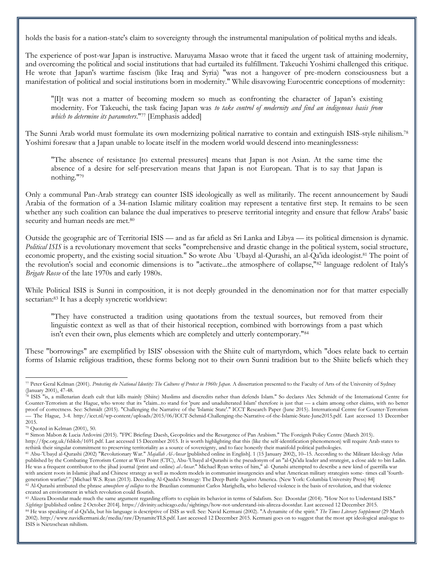holds the basis for a nation-state's claim to sovereignty through the instrumental manipulation of political myths and ideals.

The experience of post-war Japan is instructive. Maruyama Masao wrote that it faced the urgent task of attaining modernity, and overcoming the political and social institutions that had curtailed its fulfillment. Takeuchi Yoshimi challenged this critique. He wrote that Japan's wartime fascism (like Iraq and Syria) "was not a hangover of pre-modern consciousness but a manifestation of political and social institutions born in modernity." While disavowing Eurocentric conceptions of modernity:

"[I]t was not a matter of becoming modern so much as confronting the character of Japan's existing modernity. For Takeuchi, the task facing Japan was *to take control of modernity and find an indigenous basis from which to determine its parameters*."<sup>77</sup> [Emphasis added]

The Sunni Arab world must formulate its own modernizing political narrative to contain and extinguish ISIS-style nihilism.<sup>78</sup> Yoshimi foresaw that a Japan unable to locate itself in the modern world would descend into meaninglessness:

"The absence of resistance [to external pressures] means that Japan is not Asian. At the same time the absence of a desire for self-preservation means that Japan is not European. That is to say that Japan is nothing."<sup>79</sup>

Only a communal Pan-Arab strategy can counter ISIS ideologically as well as militarily. The recent announcement by Saudi Arabia of the formation of a 34-nation Islamic military coalition may represent a tentative first step. It remains to be seen whether any such coalition can balance the dual imperatives to preserve territorial integrity and ensure that fellow Arabs' basic security and human needs are met.<sup>80</sup>

Outside the geographic arc of Territorial ISIS — and as far afield as Sri Lanka and Libya — its political dimension is dynamic. *Political ISIS* is a revolutionary movement that seeks "comprehensive and drastic change in the political system, social structure, economic property, and the existing social situation." So wrote Abu `Ubayd al-Qurashi, an al-Qa'ida ideologist.<sup>81</sup> The point of the revolution's social and economic dimensions is to "activate...the atmosphere of collapse,"<sup>82</sup> language redolent of Italy's *Brigate Rosse* of the late 1970s and early 1980s.

While Political ISIS is Sunni in composition, it is not deeply grounded in the denomination nor for that matter especially sectarian:<sup>83</sup> It has a deeply syncretic worldview:

"They have constructed a tradition using quotations from the textual sources, but removed from their linguistic context as well as that of their historical reception, combined with borrowings from a past which isn't even their own, plus elements which are completely and utterly contemporary."<sup>84</sup>

These "borrowings" are exemplified by ISIS' obsession with the Shiite cult of martyrdom, which "does relate back to certain forms of Islamic religious tradition, these forms belong not to their own Sunni tradition but to the Shiite beliefs which they

l <sup>77</sup> Peter Geral Kelman (2001). *Protesting the National Identity: The Cultures of Protest in 1960s Japan*. A dissertation presented to the Faculty of Arts of the University of Sydney (January 2001), 47-48.

<sup>&</sup>lt;sup>8</sup> ISIS "is, a millenarian death cult that kills mainly (Shiite) Muslims and discredits rather than defends Islam." So declares Alex Schmidt of the International Centre for Counter-Terrorism at the Hague, who wrote that its "claim...to stand for 'pure and unadulterated Islam' therefore is just that — a claim among other claims, with no better proof of correctness. See: Schmidt (2015). "Challenging the Narrative of the 'Islamic State'." ICCT Research Paper (June 2015). International Centre for Counter-Terrorism — The Hague, 3-4. http://icct.nl/wp-content/uploads/2015/06/ICCT-Schmid-Challenging-the-Narrative-of-the-Islamic-State-June2015.pdf. Last accessed 13 December 2015.

<sup>79</sup> Quoted in Kelman (2001), 50.

<sup>80</sup> Simon Mabon & Lucia Ardovini (2015). "FPC Briefing: Daesh, Geopolitics and the Resurgence of Pan Arabism." The Foreignh Policy Centre (March 2015).

http://fpc.org.uk/fsblob/1691.pdf. Last accessed 15 December 2015. It is worth highlighting that this (like the self-identification phenomenon) will require Arab states to rethink their singular commitment to preserving territoriality as a source of sovereignty, and to face honestly their manifold political pathologies.

<sup>81</sup> Abu-'Ubayd al-Qurashi (2002) "Revolutionary War." *Majallah Al-Ansar* [published online in English]. 1 (15 January 2002), 10–15. According to the Militant Ideology Atlas published by the Combating Terrorism Center at West Point (CTC), Abu-'Ubayd al-Qurashi is the pseudonym of an "al-Qa'ida leader and strategist, a close aide to bin Ladin. He was a frequent contributor to the jihad journal (print and online) *al-Ansar*." Michael Ryan writes of him," al- Qurashi attempted to describe a new kind of guerrilla war with ancient roots in Islamic jihad and Chinese strategy as well as modern models in communist insurgencies and what American military strategists some- times call 'fourthgeneration warfare'." [Michael W.S. Ryan (2013). Decoding Al-Qaeda's Strategy: The Deep Battle Against America. (New York: Columbia University Press) 84] <sup>82</sup> Al-Qurashi attributed the phrase *atmosphere of collapse* to the Brazilian communist Carlos Marighella, who believed violence is the basis of revolution, and that violence created an environment in which revolution could flourish.

<sup>83</sup> Alizera Doostdar made much the same argument regarding efforts to explain its behavior in terms of Salafism. See: Doostdar (2014). "How Not to Understand ISIS." *Sightings* [published online 2 October 2014]. https://divinity.uchicago.edu/sightings/how-not-understand-isis-alireza-doostdar. Last accessed 12 December 2015. <sup>84</sup> He was speaking of al-Qa'ida, but his language is descriptive of ISIS as well. See: Navid Kermani (2002). "A dynamite of the spirit." *The Times Literary Supplement* (29 March 2002). http://www.navidkermani.de/media/raw/DynamiteTLS.pdf. Last accessed 12 December 2015. Kermani goes on to suggest that the most apt ideological analogue to ISIS is Nietzschean nihilism.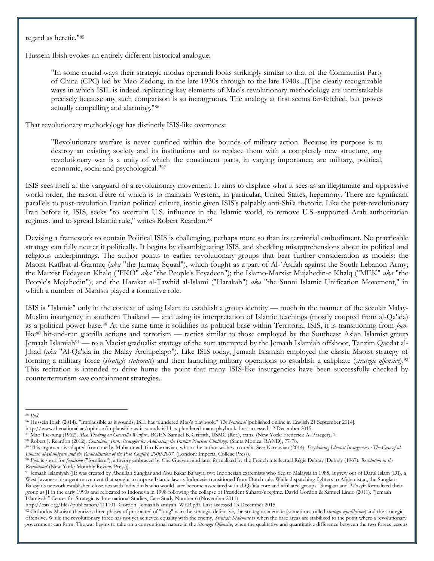regard as heretic."<sup>85</sup>

Hussein Ibish evokes an entirely different historical analogue:

"In some crucial ways their strategic modus operandi looks strikingly similar to that of the Communist Party of China (CPC) led by Mao Zedong, in the late 1930s through to the late 1940s...[T]he clearly recognizable ways in which ISIL is indeed replicating key elements of Mao's revolutionary methodology are unmistakable precisely because any such comparison is so incongruous. The analogy at first seems far-fetched, but proves actually compelling and alarming."<sup>86</sup>

That revolutionary methodology has distinctly ISIS-like overtones:

"Revolutionary warfare is never confined within the bounds of military action. Because its purpose is to destroy an existing society and its institutions and to replace them with a completely new structure, any revolutionary war is a unity of which the constituent parts, in varying importance, are military, political, economic, social and psychological."<sup>87</sup>

ISIS sees itself at the vanguard of a revolutionary movement. It aims to displace what it sees as an illegitimate and oppressive world order, the raison d'être of which is to maintain Western, in particular, United States, hegemony. There are significant parallels to post-revolution Iranian political culture, ironic given ISIS's palpably anti-Shi'a rhetoric. Like the post-revolutionary Iran before it, ISIS, seeks "to overturn U.S. influence in the Islamic world, to remove U.S.-supported Arab authoritarian regimes, and to spread Islamic rule," writes Robert Reardon.<sup>88</sup>

Devising a framework to contain Political ISIS is challenging, perhaps more so than its territorial embodiment. No practicable strategy can fully neuter it politically. It begins by disambiguating ISIS, and shedding misapprehensions about its political and religious underpinnings. The author points to earlier revolutionary groups that bear further consideration as models: the Maoist Katībat al-Ğarmaq (*aka* "the Jarmaq Squad"), which fought as a part of Al-`Asifah against the South Lebanon Army; the Marxist Fedayeen Khalq ("FKO" *aka* "the People's Feyadeen"); the Islamo-Marxist Mujahedin-e Khalq ("MEK" *aka* "the People's Mojahedin"); and the Harakat al-Tawhid al-Islami ("Harakah") *aka* "the Sunni Islamic Unification Movement," in which a number of Maoists played a formative role.

ISIS is "Islamic" only in the context of using Islam to establish a group identity — much in the manner of the secular Malay-Muslim insurgency in southern Thailand — and using its interpretation of Islamic teachings (mostly coopted from al-Qa'ida) as a political power base.<sup>89</sup> At the same time it solidifies its political base within Territorial ISIS, it is transitioning from *foco*like<sup>90</sup> hit-and-run guerilla actions and terrorism — tactics similar to those employed by the Southeast Asian Islamist group Jemaah Islamiah<sup>91</sup> — to a Maoist gradualist strategy of the sort attempted by the Jemaah Islamiah offshoot, Tanzim Qaedat al-Jihad (*aka* "Al-Qa'ida in the Malay Archipelago"). Like ISIS today, Jemaah Islamiah employed the classic Maoist strategy of forming a military force (*strategic stalemate*) and then launching military operations to establish a caliphate (*strategic offensive*).<sup>92</sup> This recitation is intended to drive home the point that many ISIS-like insurgencies have been successfully checked by counterterrorism *cum* containment strategies.

 $\overline{a}$ <sup>85</sup> *Ibid.*

<sup>86</sup> Hussein Ibish (2014). "Implausible as it sounds, ISIL has plundered Mao's playbook." *The National* [published online in English 21 September 2014].

http://www.thenational.ae/opinion/implausible-as-it-sounds-isil-has-plundered-maos-playbook. Last accessed 12 December 2015.

<sup>87</sup> Mao Tse-tung (1962). *Mao Tse-tung on Guerrilla Warfare.* BGEN Samuel B. Griffith, USMC (Ret.), trans. (New York: Frederick A. Praeger), 7.

<sup>88</sup> Robert J. Reardon (2012). *Containing Iran: Strategies for Addressing the Iranian Nuclear Challenge.* (Santa Monica: RAND), 77-78.

<sup>89</sup> This argument is adapted from one by Muhammad Tito Karnavian, whom the author wishes to credit. See: Karnavian (2014). *Explaining Islamist Insurgencies : The Case of al-Jamaah al-Islamiyyah and the Radicalisation of the Poso Conflict, 2000-2007.* (London: Imperial College Press).

<sup>90</sup> *Foco* is short for *foquismo* ("focalism"), a theory embraced by Che Guevara and later formalized by the French intellectual Régis Debray [Debray (1967). *Revolution in the Revolution?* (New York: Monthly Review Press)].

<sup>&</sup>lt;sup>91</sup> Jemaah Islamiyah (JI) was created by Abdullah Sungkar and Abu Bakar Ba'asyir, two Indonesian extremists who fled to Malaysia in 1985. It grew out of Darul Islam (DI), a West Javanese insurgent movement that sought to impose Islamic law as Indonesia transitioned from Dutch rule. While dispatching fighters to Afghanistan, the Sungkar-Ba'asyir's network established close ties with individuals who would later become associated with al-Qa'ida core and affiliated groups. Sungkar and Ba'asyir formalized their group as JI in the early 1990s and relocated to Indonesia in 1998 following the collapse of President Suharto's regime. David Gordon & Samuel Lindo (2011). "Jemaah Islamiyah." Center for Strategic & International Studies, Case Study Number 6 (November 2011).

http://csis.org/files/publication/111101\_Gordon\_JemaahIslamiyah\_WEB.pdf. Last accessed 13 December 2015.

<sup>&</sup>lt;sup>92</sup> Orthodox Maoism theorizes three phases of protracted of "long" war: the strategic defensive, the strategic stalemate (sometimes called *strategic equilibrium*) and the strategic offensive. While the revolutionary force has not yet achieved equality with the enemy, *Strategic Stalemate* is when the base areas are stabilized to the point where a revolutionary government can form. The war begins to take on a conventional nature in the *Strategic Offensive*, when the qualitative and quantitative difference between the two forces lessens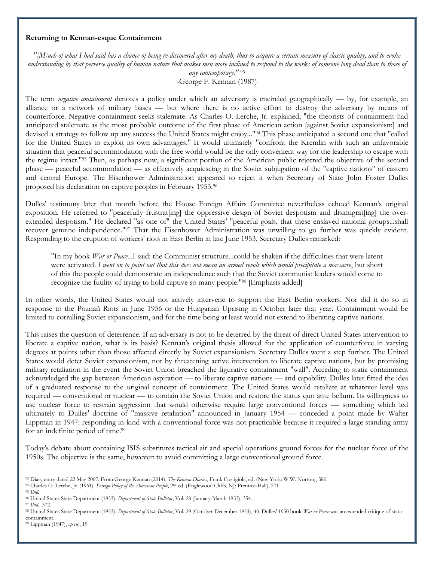#### **Returning to Kennan-esque Containment**

*"[M]uch of what I had said has a chance of being re-discovered after my death, thus to acquire a certain measure of classic quality, and to evoke understanding by that perverse quality of human nature that makes men more inclined to respond to the works of someone long dead than to those of any contemporary."* <sup>93</sup>

-George F. Kennan (1987)

The term *negative containment* denotes a policy under which an adversary is encircled geographically — by, for example, an alliance or a network of military bases — but where there is no active effort to destroy the adversary by means of counterforce. Negative containment seeks stalemate. As Charles O. Lerche, Jr. explained, "the theorists of containment had anticipated stalemate as the most probable outcome of the first phase of American action [against Soviet expansionism] and devised a strategy to follow up any success the United States might enjoy..."<sup>94</sup> This phase anticipated a second one that "called for the United States to exploit its own advantages." It would ultimately "confront the Kremlin with such an unfavorable situation that peaceful accommodation with the free world would be the only convenient way for the leadership to escape with the regime intact."<sup>95</sup> Then, as perhaps now, a significant portion of the American public rejected the objective of the second phase — peaceful accommodation — as effectively acquiescing in the Soviet subjugation of the "captive nations" of eastern and central Europe. The Eisenhower Administration appeared to reject it when Secretary of State John Foster Dulles proposed his declaration on captive peoples in February 1953.<sup>96</sup>

Dulles' testimony later that month before the House Foreign Affairs Committee nevertheless echoed Kennan's original exposition. He referred to "peacefully frustrat[ing] the oppressive design of Soviet despotism and disintigrat[ing] the overextended despotism." He declared "as one of" the United States' "peaceful goals, that these enslaved national groups...shall recover genuine independence."<sup>97</sup> That the Eisenhower Administration was unwilling to go further was quickly evident. Responding to the eruption of workers' riots in East Berlin in late June 1953, Secretary Dulles remarked:

"In my book *War or Peace*...I said: the Communist structure...could be shaken if the difficulties that were latent were activated. *I went on to point out that this does not mean an armed revolt which would precipitate a massacre*, but short of this the people could demonstrate an independence such that the Soviet communist leaders would come to recognize the futility of trying to hold captive so many people."<sup>98</sup> [Emphasis added]

In other words, the United States would not actively intervene to support the East Berlin workers. Nor did it do so in response to the Poznań Riots in June 1956 or the Hungarian Uprising in October later that year. Containment would be limited to corralling Soviet expansionism, and for the time being at least would not extend to liberating captive nations.

This raises the question of deterrence. If an adversary is not to be deterred by the threat of direct United States intervention to liberate a captive nation, what is its basis? Kennan's original thesis allowed for the application of counterforce in varying degrees at points other than those affected directly by Soviet expansionism. Secretary Dulles went a step further. The United States would deter Soviet expansionism, not by threatening active intervention to liberate captive nations, but by promising military retaliation in the event the Soviet Union breached the figurative containment "wall". Acceding to static containment acknowledged the gap between American aspiration — to liberate captive nations — and capability. Dulles later fitted the idea of a graduated response to the original concept of containment. The United States would retaliate at whatever level was required — conventional or nuclear — to contain the Soviet Union and restore the status quo ante bellum. Its willingness to use nuclear force to restrain aggression that would otherwise require large conventional forces — something which led ultimately to Dulles' doctrine of "massive retaliation" announced in January 1954 — conceded a point made by Walter Lippman in 1947: responding in-kind with a conventional force was not practicable because it required a large standing army for an indefinite period of time.<sup>99</sup>

Today's debate about containing ISIS substitutes tactical air and special operations ground forces for the nuclear force of the 1950s. The objective is the same, however: to avoid committing a large conventional ground force.

<sup>93</sup> Diary entry dated 22 May 2007. From George Kennan (2014). *The Kennan Diaries*, Frank Costigiola, ed. (New York: W.W. Norton), 580.

<sup>94</sup> Charles O. Lerche, Jr. (1961). *Foreign Policy of the American People*, 2nd ed. (Englewood Cliffs, NJ: Prentice-Hall), 271. <sup>95</sup> *Ibid.*

<sup>96</sup> United States State Department (1953). *Department of State Bulletin*, Vol. 28 (January-March 1953), 354.

<sup>97</sup> *Ibid.,* 372.

<sup>98</sup> United States State Department (1953). *Department of State Bulletin*, Vol. 29 (October-December 1953), 40. Dulles' 1950 book *War or Peace* was an extended critique of static containment.

<sup>99</sup> Lippman (1947), *op cit*., 19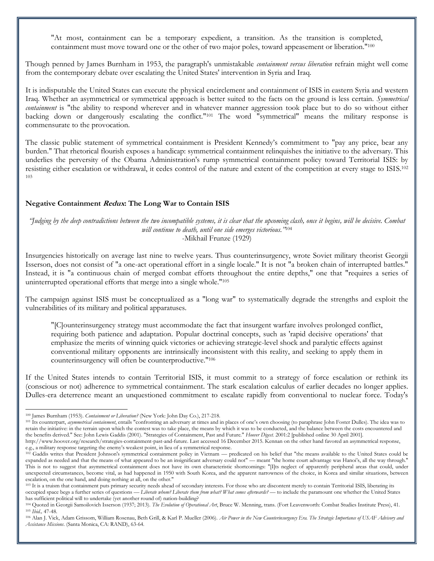"At most, containment can be a temporary expedient, a transition. As the transition is completed, containment must move toward one or the other of two major poles, toward appeasement or liberation."<sup>100</sup>

Though penned by James Burnham in 1953, the paragraph's unmistakable *containment versus liberation* refrain might well come from the contemporary debate over escalating the United States' intervention in Syria and Iraq.

It is indisputable the United States can execute the physical encirclement and containment of ISIS in eastern Syria and western Iraq. Whether an asymmetrical or symmetrical approach is better suited to the facts on the ground is less certain. *Symmetrical containment* is "the ability to respond wherever and in whatever manner aggression took place but to do so without either backing down or dangerously escalating the conflict."<sup>101</sup> The word "symmetrical" means the military response is commensurate to the provocation.

The classic public statement of symmetrical containment is President Kennedy's commitment to "pay any price, bear any burden." That rhetorical flourish exposes a handicap: symmetrical containment relinquishes the initiative to the adversary. This underlies the perversity of the Obama Administration's rump symmetrical containment policy toward Territorial ISIS: by resisting either escalation or withdrawal, it cedes control of the nature and extent of the competition at every stage to ISIS.<sup>102</sup> 103

#### **Negative Containment Redux: The Long War to Contain ISIS**

*"Judging by the deep contradictions between the two incompatible systems, it is clear that the upcoming clash, once it begins, will be decisive. Combat will continue to death, until one side emerges victorious."*<sup>104</sup> -Mikhail Frunze (1929)

Insurgencies historically on average last nine to twelve years. Thus counterinsurgency, wrote Soviet military theorist Georgii Isserson, does not consist of "a one-act operational effort in a single locale." It is not "a broken chain of interrupted battles." Instead, it is "a continuous chain of merged combat efforts throughout the entire depths," one that "requires a series of uninterrupted operational efforts that merge into a single whole."<sup>105</sup>

The campaign against ISIS must be conceptualized as a "long war" to systematically degrade the strengths and exploit the vulnerabilities of its military and political apparatuses.

"[C]ounterinsurgency strategy must accommodate the fact that insurgent warfare involves prolonged conflict, requiring both patience and adaptation. Popular doctrinal concepts, such as 'rapid decisive operations' that emphasize the merits of winning quick victories or achieving strategic-level shock and paralytic effects against conventional military opponents are intrinsically inconsistent with this reality, and seeking to apply them in counterinsurgency will often be counterproductive."<sup>106</sup>

If the United States intends to contain Territorial ISIS, it must commit to a strategy of force escalation or rethink its (conscious or not) adherence to symmetrical containment. The stark escalation calculus of earlier decades no longer applies. Dulles-era deterrence meant an unquestioned commitment to escalate rapidly from conventional to nuclear force. Today's

<sup>100</sup> James Burnham (1953). *Containment or Liberation?* (New York: John Day Co.), 217-218.

<sup>&</sup>lt;sup>101</sup> Its counterpart, *asymmetrical containment*, entails "confronting an adversary at times and in places of one's own choosing (to paraphrase John Foster Dulles). The idea was to retain the initiative: in the terrain upon which the contest was to take place, the means by which it was to be conducted, and the balance between the costs encountered and the benefits derived." See: John Lewis Gaddis (2001). "Strategies of Containment, Past and Future." *Hoover Digest.* 2001:2 [published online 30 April 2001].

http://www.hoover.org/research/strategies-containment-past-and-future. Last accessed 16 December 2015. Kennan on the other hand favored an asymmetrical response, e.g., a military response targeting the enemy's weakest point, in lieu of a symmetrical response.

<sup>&</sup>lt;sup>102</sup> Gaddis writes that President Johnson's symmetrical containment policy in Vietnam — predicated on his belief that "the means available to the United States could be expanded as needed and that the means of what appeared to be an insignificant adversary could not" — meant "the home court advantage was Hanoi's, all the way through." This is not to suggest that asymmetrical containment does not have its own characteristic shortcomings: "[I]ts neglect of apparently peripheral areas that could, under unexpected circumstances, become vital, as had happened in 1950 with South Korea, and the apparent narrowness of the choice, in Korea and similar situations, between escalation, on the one hand, and doing nothing at all, on the other."

<sup>103</sup> It is a truism that containment puts primary security needs ahead of secondary interests. For those who are discontent merely to contain Territorial ISIS, liberating its occupied space begs a further series of questions — *Liberate whom? Liberate them from what? What comes afterwards?* — to include the paramount one whether the United States has sufficient political will to undertake (yet another round of) nation-building?

<sup>104</sup> Quoted in Georgii Samoilovich Isserson (1937; 2013). *The Evolution of Operational Art*, Bruce W. Menning, trans. (Fort Leavenworth: Combat Studies Institute Press), 41. <sup>105</sup> *Ibid.,* 47-48.

<sup>106</sup> Alan J. Vick, Adam Grissom, William Rosenau, Beth Grill, & Karl P. Mueller (2006). *Air Power in the New Counterinsurgency Era. The Strategic Importance of USAF Advisory and Assistance Missions*. (Santa Monica, CA: RAND), 63-64.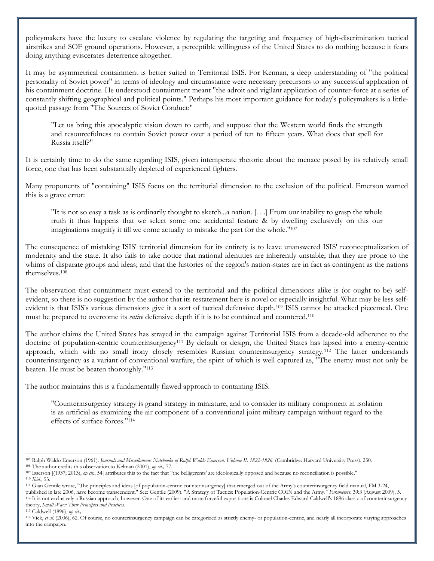policymakers have the luxury to escalate violence by regulating the targeting and frequency of high-discrimination tactical airstrikes and SOF ground operations. However, a perceptible willingness of the United States to do nothing because it fears doing anything eviscerates deterrence altogether.

It may be asymmetrical containment is better suited to Territorial ISIS. For Kennan, a deep understanding of "the political personality of Soviet power" in terms of ideology and circumstance were necessary precursors to any successful application of his containment doctrine. He understood containment meant "the adroit and vigilant application of counter-force at a series of constantly shifting geographical and political points." Perhaps his most important guidance for today's policymakers is a littlequoted passage from "The Sources of Soviet Conduct:"

"Let us bring this apocalyptic vision down to earth, and suppose that the Western world finds the strength and resourcefulness to contain Soviet power over a period of ten to fifteen years. What does that spell for Russia itself?"

It is certainly time to do the same regarding ISIS, given intemperate rhetoric about the menace posed by its relatively small force, one that has been substantially depleted of experienced fighters.

Many proponents of "containing" ISIS focus on the territorial dimension to the exclusion of the political. Emerson warned this is a grave error:

"It is not so easy a task as is ordinarily thought to sketch...a nation. [. . .] From our inability to grasp the whole truth it thus happens that we select some one accidental feature & by dwelling exclusively on this our imaginations magnify it till we come actually to mistake the part for the whole."<sup>107</sup>

The consequence of mistaking ISIS' territorial dimension for its entirety is to leave unanswered ISIS' reconceptualization of modernity and the state. It also fails to take notice that national identities are inherently unstable; that they are prone to the whims of disparate groups and ideas; and that the histories of the region's nation-states are in fact as contingent as the nations themselves.<sup>108</sup>

The observation that containment must extend to the territorial and the political dimensions alike is (or ought to be) selfevident, so there is no suggestion by the author that its restatement here is novel or especially insightful. What may be less selfevident is that ISIS's various dimensions give it a sort of tactical defensive depth.<sup>109</sup> ISIS cannot be attacked piecemeal. One must be prepared to overcome its *entire* defensive depth if it is to be contained and countered.<sup>110</sup>

The author claims the United States has strayed in the campaign against Territorial ISIS from a decade-old adherence to the doctrine of population-centric counterinsurgency<sup>111</sup> By default or design, the United States has lapsed into a enemy-centric approach, which with no small irony closely resembles Russian counterinsurgency strategy.<sup>112</sup> The latter understands counterinsurgency as a variant of conventional warfare, the spirit of which is well captured as, "The enemy must not only be beaten. He must be beaten thoroughly."<sup>113</sup>

The author maintains this is a fundamentally flawed approach to containing ISIS.

"Counterinsurgency strategy is grand strategy in miniature, and to consider its military component in isolation is as artificial as examining the air component of a conventional joint military campaign without regard to the effects of surface forces."<sup>114</sup>

 $\overline{a}$ <sup>107</sup> Ralph Waldo Emerson (1961). *Journals and Miscellaneous Notebooks of Ralph Waldo Emerson, Volume II: 1822-1826*. (Cambridge: Harvard University Press), 250. <sup>108</sup> The author credits this observation to Kelman (2001), *op cit.,* 77.

<sup>&</sup>lt;sup>109</sup> Isserson [(1937; 2013), *op cit.*, 54] attributes this to the fact that "the belligerents' are ideologically opposed and because no reconciliation is possible."

<sup>110</sup> *Ibid.*, 53.

<sup>111</sup> Gian Gentile wrote, "The principles and ideas [of population-centric counterinsurgency] that emerged out of the Army's counterinsurgency field manual, FM 3-24, published in late 2006, have become transcendent." See: Gentile (2009). "A Strategy of Tactics: Population-Centric COIN and the Army." *Parameters*. 39:3 (August 2009), 5. <sup>112</sup> It is not exclusively a Russian approach, however. One of its earliest and more forceful expositions is Colonel Charles Edward Caldwell's 1896 classic of counterinsurgency theory, *Small Wars: Their Principles and Practices*.

<sup>113</sup> Caldwell (1896), *op cit.,* 

<sup>&</sup>lt;sup>114</sup> Vick, *et al.* (2006), 62. Of course, no counterinsurgency campaign can be categorized as strictly enemy- or population-centric, and nearly all incorporate varying approaches into the campaign.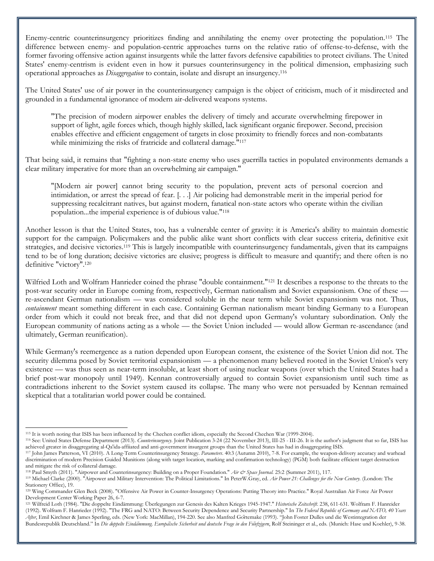Enemy-centric counterinsurgency prioritizes finding and annihilating the enemy over protecting the population.<sup>115</sup> The difference between enemy- and population-centric approaches turns on the relative ratio of offense-to-defense, with the former favoring offensive action against insurgents while the latter favors defensive capabilities to protect civilians. The United States' enemy-centrism is evident even in how it pursues counterinsurgency in the political dimension, emphasizing such operational approaches as *Disaggregation* to contain, isolate and disrupt an insurgency.<sup>116</sup>

The United States' use of air power in the counterinsurgency campaign is the object of criticism, much of it misdirected and grounded in a fundamental ignorance of modern air-delivered weapons systems.

"The precision of modern airpower enables the delivery of timely and accurate overwhelming firepower in support of light, agile forces which, though highly skilled, lack significant organic firepower. Second, precision enables effective and efficient engagement of targets in close proximity to friendly forces and non-combatants while minimizing the risks of fratricide and collateral damage."<sup>117</sup>

That being said, it remains that "fighting a non-state enemy who uses guerrilla tactics in populated environments demands a clear military imperative for more than an overwhelming air campaign."

"[Modern air power] cannot bring security to the population, prevent acts of personal coercion and intimidation, or arrest the spread of fear. [. . .] Air policing had demonstrable merit in the imperial period for suppressing recalcitrant natives, but against modern, fanatical non-state actors who operate within the civilian population...the imperial experience is of dubious value."<sup>118</sup>

Another lesson is that the United States, too, has a vulnerable center of gravity: it is America's ability to maintain domestic support for the campaign. Policymakers and the public alike want short conflicts with clear success criteria, definitive exit strategies, and decisive victories.<sup>119</sup> This is largely incompatible with counterinsurgency fundamentals, given that its campaigns tend to be of long duration; decisive victories are elusive; progress is difficult to measure and quantify; and there often is no definitive "victory".<sup>120</sup>

Wilfried Loth and Wolfram Hanrieder coined the phrase "double containment."<sup>121</sup> It describes a response to the threats to the post-war security order in Europe coming from, respectively, German nationalism and Soviet expansionism. One of these re-ascendant German nationalism — was considered soluble in the near term while Soviet expansionism was not. Thus, *containment* meant something different in each case. Containing German nationalism meant binding Germany to a European order from which it could not break free, and that did not depend upon Germany's voluntary subordination. Only the European community of nations acting as a whole — the Soviet Union included — would allow German re-ascendance (and ultimately, German reunification).

While Germany's reemergence as a nation depended upon European consent, the existence of the Soviet Union did not. The security dilemma posed by Soviet territorial expansionism — a phenomenon many believed rooted in the Soviet Union's very existence — was thus seen as near-term insoluble, at least short of using nuclear weapons (over which the United States had a brief post-war monopoly until 1949). Kennan controversially argued to contain Soviet expansionism until such time as contradictions inherent to the Soviet system caused its collapse. The many who were not persuaded by Kennan remained skeptical that a totalitarian world power could be contained.

<sup>115</sup> It is worth noting that ISIS has been influenced by the Chechen conflict idiom, especially the Second Chechen War (1999-2004).

<sup>116</sup> See: United States Defense Department (2013). *Counterinsurgency*. Joint Publication 3-24 (22 November 2013), III-25 - III-26. It is the author's judgment that so far, ISIS has achieved greater in disaggregating al-Qa'ida-affiiated and anti-government insurgent groups than the United States has had in disaggregating ISIS.

<sup>117</sup> John James Patterson, VI (2010). A Long-Term Counterinsurgency Strategy. *Parameters*. 40:3 (Autumn 2010), 7-8. For example, the weapon-delivery accuracy and warhead discrimination of modern Precision Guided Munitions (along with target location, marking and confirmation technology) (PGM) both facilitate efficient target destruction and mitigate the risk of collateral damage.

<sup>118</sup> Paul Smyth (2011). "Airpower and Counterinsurgency: Building on a Proper Foundation." *Air & Space Journal.* 25:2 (Summer 2011), 117.

<sup>119</sup> Michael Clarke (2000). "Airpower and Military Intervention: The Political Limitations." In PeterW.Gray, ed. *Air Power 21: Challenges for the New Century.* (London: The Stationery Office), 19.

<sup>120</sup> Wing Commander Glen Beck (2008). "Offensive Air Power in Counter-Insurgency Operations: Putting Theory into Practice." Royal Australian Air Force Air Power Development Center Working Paper 26, 6-7.

<sup>121</sup> Wilfreid Loth (1984). "Die doppelte Eindämmung: Überlegungen zur Genesis des Kalten Krieges 1945-1947." *Historische Zeitschrift*. 238, 611-631. Wolfram F. Hanreider (1992). Wolfram F. Hanrieder (1992). "The FRG and NATO: Between Security Dependence and Security Partnership." In *The Federal Republic of Germany and NATO, 40 Years After*, Emil Kirchner & James Sperling, eds. (New York: MacMillan), 194-220. See also Manfred Görtemake (1993). "John Foster Dulles und die Westintegration der Bundesrepublik Deutschland." In Die doppelte Eindammung. Europäische Sicherheit und deutsche Frage in den Fünfzigern, Rolf Steininger et al., eds. (Munich: Hase und Koehler), 9-38.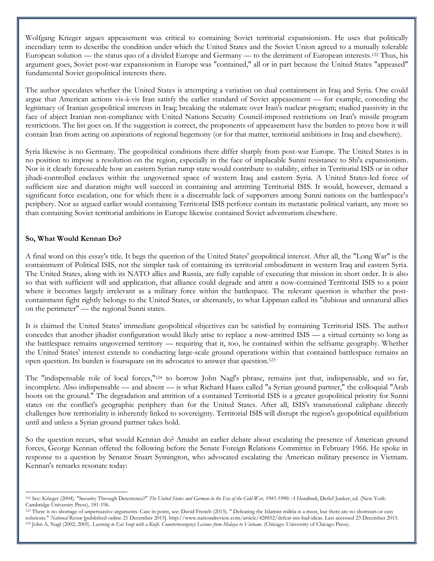Wolfgang Krieger argues appeasement was critical to containing Soviet territorial expansionism. He uses that politically incendiary term to describe the condition under which the United States and the Soviet Union agreed to a mutually tolerable European solution — the status quo of a divided Europe and Germany — to the detriment of European interests.<sup>122</sup> Thus, his argument goes, Soviet post-war expansionism in Europe was "contained," all or in part because the United States "appeased" fundamental Soviet geopolitical interests there.

The author speculates whether the United States is attempting a variation on dual containment in Iraq and Syria. One could argue that American actions vis-à-vis Iran satisfy the earlier standard of Soviet appeasement — for example, conceding the legitimacy of Iranian geopolitical interests in Iraq; breaking the stalemate over Iran's nuclear program; studied passivity in the face of abject Iranian non-compliance with United Nations Security Council-imposed restrictions on Iran's missile program restrictions. The list goes on. If the suggestion is correct, the proponents of appeasement have the burden to prove how it will contain Iran from acting on aspirations of regional hegemony (or for that matter, territorial ambitions in Iraq and elsewhere).

Syria likewise is no Germany. The geopolitical conditions there differ sharply from post-war Europe. The United States is in no position to impose a resolution on the region, especially in the face of implacable Sunni resistance to Shi'a expansionism. Nor is it clearly foreseeable how an eastern Syrian rump state would contribute to stability, either in Territorial ISIS or in other jihadi-controlled enclaves within the ungoverned space of western Iraq and eastern Syria. A United States-led force of sufficient size and duration might well succeed in containing and attritting Territorial ISIS. It would, however, demand a significant force escalation, one for which there is a discernable lack of supporters among Sunni nations on the battlespace's periphery. Nor as argued earlier would containing Territorial ISIS perforce contain its metastatic political variant, any more so than containing Soviet territorial ambitions in Europe likewise contained Soviet adventurism elsewhere.

#### **So, What Would Kennan Do?**

l

A final word on this essay's title. It begs the question of the United States' geopolitical interest. After all, the "Long War" is the containment of Political ISIS, not the simpler task of containing its territorial embodiment in western Iraq and eastern Syria. The United States, along with its NATO allies and Russia, are fully capable of executing that mission in short order. It is also so that with sufficient will and application, that alliance could degrade and attrit a now-contained Territorial ISIS to a point where it becomes largely irrelevant as a military force within the battlespace. The relevant question is whether the postcontainment fight rightly belongs to the United States, or alternately, to what Lippman called its "dubious and unnatural allies on the perimeter" — the regional Sunni states.

It is claimed the United States' immediate geopolitical objectives can be satisfied by containing Territorial ISIS. The author concedes that another jihadist configuration would likely arise to replace a now-attritted ISIS — a virtual certainty so long as the battlespace remains ungoverned territory — requiring that it, too, be contained within the selfsame geography. Whether the United States' interest extends to conducting large-scale ground operations within that contained battlespace remains an open question. Its burden is foursquare on its advocates to answer that question.<sup>123</sup>

The "indispensable role of local forces,"<sup>124</sup> to borrow John Nagl's phrase, remains just that, indispensable, and so far, incomplete. Also indispensable — and absent — is what Richard Haass called "a Syrian ground partner," the colloquial "Arab boots on the ground." The degradation and attrition of a contained Territorial ISIS is a greater geopolitical priority for Sunni states on the conflict's geographic periphery than for the United States. After all, ISIS's transnational caliphate directly challenges how territoriality is inherently linked to sovereignty. Territorial ISIS will disrupt the region's geopolitical equilibrium until and unless a Syrian ground partner takes hold.

So the question recurs, what would Kennan do? Amidst an earlier debate about escalating the presence of American ground forces, George Kennan offered the following before the Senate Foreign Relations Committee in February 1966. He spoke in response to a question by Senator Stuart Symington, who advocated escalating the American military presence in Vietnam. Kennan's remarks resonate today:

<sup>122</sup> See: Krieger (2004). "Security Through Deterrence?" *The United States and German in the Era of the Cold War, 1945-1990: A Handbook*, Detlef Junker, ed. (New York: Cambridge University Press), 181-196.

<sup>&</sup>lt;sup>123</sup> There is no shortage of unpersuasive arguments. Case in point, see: David French (2015). " Defeating the Islamist militia is a must, but there are no shortcuts or easy solutions." *National Review* [published online 21 December 2015]. http://www.nationalreview.com/article/428852/defeat-isis-bad-ideas. Last accessed 23 December 2015. <sup>124</sup> John A. Nagl (2002; 2005). *Learning to Eat Soup with a Knife. Counterinsurgency Lessons from Malaya to Vietnam*. (Chicago: University of Chicago Press).